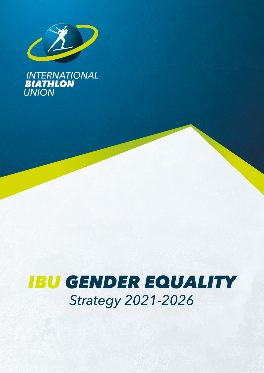

**INTERNATIONAL<br>BIATHLON<br>UNION** 

# *IBU GENDER EQUALITY Strategy 2021-2026*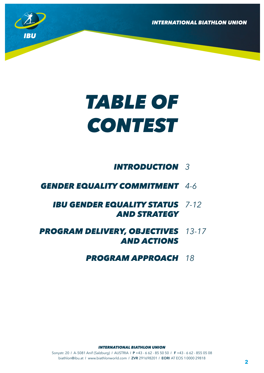

# *TABLE OF CONTEST*

# *INTRODUCTION 3*

# *GENDER EQUALITY COMMITMENT 4-6*

# *IBU GENDER EQUALITY STATUS 7-12 AND STRATEGY*

# *PROGRAM DELIVERY, OBJECTIVES 13-17 AND ACTIONS*

# *PROGRAM APPROACH 18*

*INTERNATIONAL BIATHLON UNION INTERNATIONAL BIATHLON UNION* 80 Sonystr. 20 / A-5081 Anif (Salzburg) / AUSTRIA / **P** +43 - 6 62 - 85 50 50 / **F** +43 - 6 62 - 855 05

biathlon@ibu.at *I* www.biathlonworld.com *I* ZVR 291698201 *I* EORI AT EOS 10000 29818 biathlon@ibu.at *I* www.biathlonworld.com *I* ZVR 291698201 *I* EORI AT EOS 10000 29818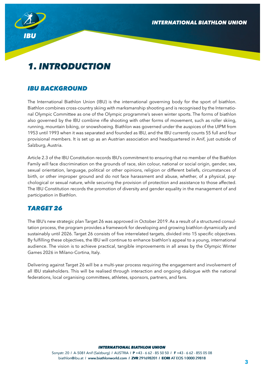

# *1. INTRODUCTION*

## *IBU BACKGROUND*

The International Biathlon Union (IBU) is the international governing body for the sport of biathlon. Biathlon combines cross-country skiing with marksmanship shooting and is recognised by the International Olympic Committee as one of the Olympic programme's seven winter sports. The forms of biathlon also governed by the IBU combine rifle shooting with other forms of movement, such as roller skiing, running, mountain biking, or snowshoeing. Biathlon was governed under the auspices of the UIPM from 1953 until 1993 when it was separated and founded as IBU, and the IBU currently counts 55 full and four provisional members. It is set up as an Austrian association and headquartered in Anif, just outside of Salzburg, Austria.

Article 2.3 of the IBU Constitution records IBU's commitment to ensuring that no member of the Biathlon Family will face discrimination on the grounds of race, skin colour, national or social origin, gender, sex, sexual orientation, language, political or other opinions, religion or different beliefs, circumstances of birth, or other improper ground and do not face harassment and abuse, whether, of a physical, psychological or sexual nature, while securing the provision of protection and assistance to those affected. The IBU Constitution records the promotion of diversity and gender equality in the management of and participation in Biathlon.

## *TARGET 26*

The IBU's new strategic plan Target 26 was approved in October 2019. As a result of a structured consultation process, the program provides a framework for developing and growing biathlon dynamically and sustainably until 2026. Target 26 consists of five interrelated targets, divided into 15 specific objectives. By fulfilling these objectives, the IBU will continue to enhance biathlon's appeal to a young, international audience. The vision is to achieve practical, tangible improvements in all areas by the Olympic Winter Games 2026 in Milano-Cortina, Italy.

Delivering against Target 26 will be a multi-year process requiring the engagement and involvement of all IBU stakeholders. This will be realised through interaction and ongoing dialogue with the national federations, local organising committees, athletes, sponsors, partners, and fans.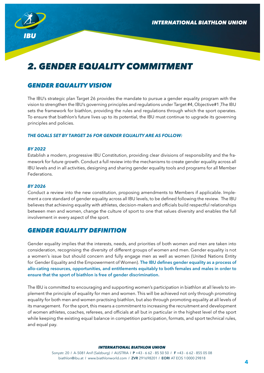

# *2. GENDER EQUALITY COMMITMENT*

## *GENDER EQUALITY VISION*

The IBU's strategic plan Target 26 provides the mandate to pursue a gender equality program with the vision to strengthen the IBU's governing principles and regulations under Target #4, Objective#1, The IBU sets the framework for biathlon, providing the rules and regulations through which the sport operates. To ensure that biathlon's future lives up to its potential, the IBU must continue to upgrade its governing principles and policies.

#### *THE GOALS SET BY TARGET 26 FOR GENDER EQUALITY ARE AS FOLLOW:*

#### *BY 2022*

Establish a modern, progressive IBU Constitution, providing clear divisions of responsibility and the framework for future growth. Conduct a full review into the mechanisms to create gender equality across all IBU levels and in all activities, designing and sharing gender equality tools and programs for all Member Federations.

#### *BY 2026*

Conduct a review into the new constitution, proposing amendments to Members if applicable. Implement a core standard of gender equality across all IBU levels, to be defined following the review. The IBU believes that achieving equality with athletes, decision-makers and officials build respectful relationships between men and women, change the culture of sport to one that values diversity and enables the full involvement in every aspect of the sport.

#### *GENDER EQUALITY DEFINITION*

Gender equality implies that the interests, needs, and priorities of both women and men are taken into consideration, recognising the diversity of different groups of women and men. Gender equality is not a women's issue but should concern and fully engage men as well as women (United Nations Entity for Gender Equality and the Empowerment of Women). The IBU defines gender equality as a process of allo-cating resources, opportunities, and entitlements equitably to both females and males in order to ensure that the sport of biathlon is free of gender discrimination.

The IBU is committed to encouraging and supporting women's participation in biathlon at all levels to implement the principle of equality for men and women. This will be achieved not only through promoting equality for both men and women practising biathlon, but also through promoting equality at all levels of its management. For the sport, this means a commitment to increasing the recruitment and development of women athletes, coaches, referees, and officials at all but in particular in the highest level of the sport while keeping the existing equal balance in competition participation, formats, and sport technical rules, and equal pay.

#### *INTERNATIONAL BIATHLON UNION INTERNATIONAL BIATHLON UNION*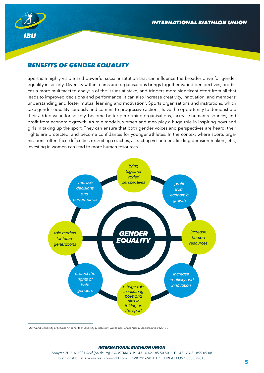

## *BENEFITS OF GENDER EQUALITY*

Sport is a highly visible and powerful social institution that can influence the broader drive for gender equality in society. Diversity within teams and organisations brings together varied perspectives, produces a more multifaceted analysis of the issues at stake, and triggers more significant effort from all that leads to improved decisions and performance. It can also increase creativity, innovation, and members' understanding and foster mutual learning and motivation<sup>1</sup>. Sports organisations and institutions, which take gender equality seriously and commit to progressive actions, have the opportunity to demonstrate their added value for society, become better-performing organisations, increase human resources, and profit from economic growth. As role models, women and men play a huge role in inspiring boys and girls in taking up the sport. They can ensure that both gender voices and perspectives are heard, their rights are protected, and become confidantes for younger athletes. In the context where sports organisations often face difficulties recruiting coaches, attracting volunteers, finding decision-makers, etc., investing in women can lead to more human resources.



1 UEFA and University of St Gallen, "Benefits of Diversity & Inclusion: Outcomes, Challenges & Opportunities" (2017).

#### *INTERNATIONAL BIATHLON UNION INTERNATIONAL BIATHLON UNION*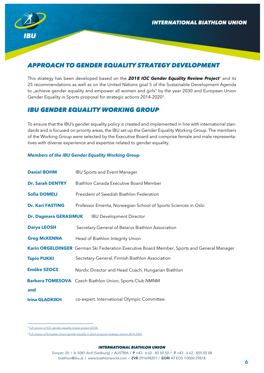

# *APPROACH TO GENDER EQUALITY STRATEGY DEVELOPMENT*

This strategy has been developed based on the *2018 IOC Gender Equality Review Project*<sup>2</sup> and its 25 recommendations as well as on the United Nations goal 5 of the Sustainable Development Agenda to "achieve gender equality and empower all women and girls" by the year 2030 and European Union Gender Equality in Sports proposal for strategic actions 2014-2020 $^3$ .

#### *IBU GENDER EQUALITY WORKING GROUP*

To ensure that the IBU's gender equality policy is created and implemented in line with international standards and is focused on priority areas, the IBU set up the Gender Equality Working Group. The members of the Working Group were selected by the Executive Board and comprise female and male representatives with diverse experience and expertise related to gender equality.

#### *Members of the IBU Gender Equality Working Group*

| <b>Daniel BOHM</b>           | <b>IBU Sports and Event Manager</b>                                                        |
|------------------------------|--------------------------------------------------------------------------------------------|
| <b>Dr. Sarah DENTRY</b>      | Biathlon Canada Executive Board Member                                                     |
| <b>Sofia DOMEIJ</b>          | President of Swedish Biathlon Federation                                                   |
| <b>Dr. Kari FASTING</b>      | Professor Emerita, Norwegian School of Sports Sciences in Oslo                             |
| <b>Dr. Dagmara GERASIMUK</b> | <b>IBU Development Director</b>                                                            |
| <b>Darya LEOSH</b>           | Secretary-General of Belarus Biathlon Association                                          |
| <b>Greg McKENNA</b>          | Head of Biathlon Integrity Union                                                           |
|                              | Karin ORGELDINGER German Ski Federation Executive Board Member, Sports and General Manager |
| <b>Tapio PUKKI</b>           | Secretary-General, Finnish Biathlon Association                                            |
| <b>Emöke SZOCS</b>           | Nordic Director and Head Coach, Hungarian Biathlon                                         |
|                              | <b>Barbora TOMESOVA</b> Czech Biathlon Union, Sports Club NMNM                             |
| and                          |                                                                                            |
| <b>Irina GLADKIKH</b>        | co-expert, International Olympic Committee                                                 |

<sup>&</sup>lt;sup>2</sup> [Full version of IOC gender equality review project \(2018\)](https://stillmed.olympic.org/media/Document Library/OlympicOrg/News/2018/03/IOC-Gender-Equality-Report-March-2018.pdf#_ga=2.33485310.193488143.1607929794-1038353163.1583254180)

<sup>&</sup>lt;sup>3</sup> [Full version of European Union gender equality in sport proposal strategic actions 2014-2020](https://op.europa.eu/en/publication-detail/-/publication/7e7a7ff2-5bff-42b4-90f9-8266b3ddc01c)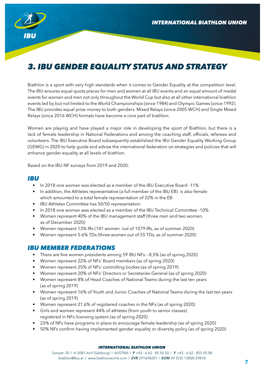

# *3. IBU GENDER EQUALITY STATUS AND STRATEGY*

Biathlon is a sport with very high standards when it comes to Gender Equality at the competition level. The IBU ensures equal quota places for men and women at all IBU events and an equal amount of medal events for women and men not only throughout the World Cup but also at all other international biathlon events led by but not limited to the World Championships (since 1984) and Olympic Games (since 1992). The IBU provides equal prize money to both genders. Mixed Relays (since 2005 WCH) and Single Mixed Relays (since 2016 WCH) formats have become a core part of biathlon.

Women are playing and have played a major role in developing the sport of Biathlon, but there is a lack of female leadership in National Federations and among the coaching staff, officials, referees and volunteers. The IBU Executive Board subsequently established the IBU Gender Equality Working Group (GEWG) in 2020 to help guide and advise the international federation on strategies and policies that will enhance gender equality at all levels of biathlon.

Based on the IBU NF surveys from 2019 and 2020:

#### *IBU*

- In 2018 one woman was elected as a member of the IBU Executive Board -11%
- In addition, the Athletes representative (a full member of the IBU EB) is also female which amounted to a total female representation of 22% in the EB
- IBU Athletes Committee has 50/50 representation
- In 2018 one woman was elected as a member of the IBU Technical Committee -10%
- Women represent 40% of the IBU management staff (three men and two women, as of December 2020)
- Women represent 13% IRs (141 women out of 1079 IRs, as of summer 2020)
- Women represent 5-6% TDs (three women out of 55 TDs, as of summer 2020)

#### *IBU MEMBER FEDERATIONS*

- There are five women presidents among 59 IBU NFs 8,5% (as of spring 2020)
- Women represent 22% of NFs' Board members (as of spring 2020)
- Women represent 25% of NFs' controlling bodies (as of spring 2019)
- Women represent 20% of NFs' Directors or Secretaries-General (as of spring 2020)
- Women represent 8% of Head Coaches of National Teams during the last ten years (as of spring 2019)
- Women represent 16% of Youth and Junior Coaches of National Teams during the last ten years (as of spring 2019)
- Women represent 21,6% of registered coaches in the NFs (as of spring 2020)
- Girls and women represent 44% of athletes (from youth to senior classes) registered in NFs licensing system (as of spring 2020)
- 23% of NFs have programs in place to encourage female leadership (as of spring 2020)
- 50% NFs confirm having implemented gender equality or diversity policy (as of spring 2020)

#### *INTERNATIONAL BIATHLON UNION INTERNATIONAL BIATHLON UNION*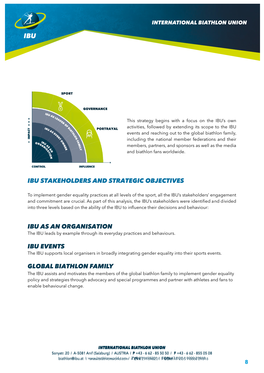



This strategy begins with a focus on the IBU's own activities, followed by extending its scope to the IBU events and reaching out to the global biathlon family, including the national member federations and their members, partners, and sponsors as well as the media and biathlon fans worldwide.

### *IBU STAKEHOLDERS AND STRATEGIC OBJECTIVES*

To implement gender equality practices at all levels of the sport, all the IBU's stakeholders' engagement and commitment are crucial. As part of this analysis, the IBU's stakeholders were identified and divided into three levels based on the ability of the IBU to influence their decisions and behaviour:

#### *IBU AS AN ORGANISATION*

The IBU leads by example through its everyday practices and behaviours.

#### *IBU EVENTS*

The IBU supports local organisers in broadly integrating gender equality into their sports events.

### *GLOBAL BIATHLON FAMILY*

The IBU assists and motivates the members of the global biathlon family to implement gender equality policy and strategies through advocacy and special programmes and partner with athletes and fans to enable behavioural change.

#### *INTERNATIONAL BIATHLON UNION INTERNATIONAL BIATHLON UNION INTERNATIONAL BIATHLON UNION*

§onystr. 20 / A-5081 Anif (\$alzburg) / AU\$TRIA / P +43 - 6 62 - 85 50 50 / F +43 - 6 62 - 855 05 08 biathlon@ibu.at // www.vbiathloom.voldc.com/ **ZYNR**21X394201 **F@Or**AAE@S900000299818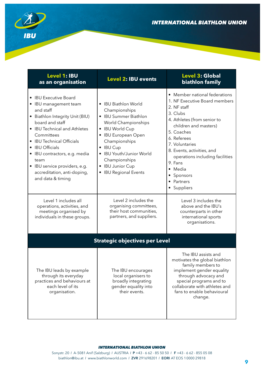

| <b>Level 1: IBU</b><br>as an organisation                                                                                                                                                                                                                                                                                                     | <b>Level 2: IBU events</b>                                                                                                                                                                                                                                        | <b>Level 3: Global</b><br>biathlon family                                                                                                                                                                                                                                                                                                                         |
|-----------------------------------------------------------------------------------------------------------------------------------------------------------------------------------------------------------------------------------------------------------------------------------------------------------------------------------------------|-------------------------------------------------------------------------------------------------------------------------------------------------------------------------------------------------------------------------------------------------------------------|-------------------------------------------------------------------------------------------------------------------------------------------------------------------------------------------------------------------------------------------------------------------------------------------------------------------------------------------------------------------|
| • IBU Executive Board<br>• IBU management team<br>and staff<br>• Biathlon Integrity Unit (BIU)<br>board and staff<br>• IBU Technical and Athletes<br>Committees<br>• IBU Technical Officials<br>• IBU Officials<br>• IBU contractors, e.g. media<br>team<br>• IBU service providers, e.g.<br>accreditation, anti-doping,<br>and data & timing | • IBU Biathlon World<br>Championships<br>• IBU Summer Biathlon<br>World Championships<br>• IBU World Cup<br>• IBU European Open<br>Championships<br>• IBU Cup<br><b>IBU Youth/Junior World</b><br>Championships<br>• IBU Junior Cup<br><b>IBU Regional Events</b> | • Member national federations<br>1. NF Executive Board members<br>2. NF staff<br>3. Clubs<br>4. Athletes (from senior to<br>children and masters)<br>5. Coaches<br>6. Referees<br>7. Voluntaries<br>8. Events, activities, and<br>operations including facilities<br>9. Fans<br>Media<br>$\bullet$<br>Sponsors<br>$\bullet$<br>Partners<br>$\bullet$<br>Suppliers |
| Level 1 includes all<br>operations, activities, and<br>meetings organised by<br>individuals in these groups.                                                                                                                                                                                                                                  | Level 2 includes the<br>organising committees,<br>their host communities,<br>partners, and suppliers.                                                                                                                                                             | Level 3 includes the<br>above and the IBU's<br>counterparts in other<br>international sports<br>organisations.                                                                                                                                                                                                                                                    |
|                                                                                                                                                                                                                                                                                                                                               | <b>Strategic objectives per Level</b>                                                                                                                                                                                                                             |                                                                                                                                                                                                                                                                                                                                                                   |
| The IBU leads by example<br>through its everyday<br>practices and behaviours at<br>each level of its<br>organisation.                                                                                                                                                                                                                         | The IBU encourages<br>local organisers to<br>broadly integrating<br>gender equality into<br>their events.                                                                                                                                                         | The IBU assists and<br>motivates the global biathlon<br>family members to<br>implement gender equality<br>through advocacy and<br>special programs and to<br>collaborate with athletes and<br>fans to enable behavioural<br>change.                                                                                                                               |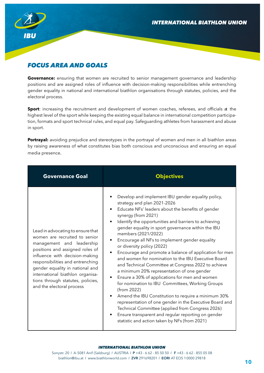

# *FOCUS AREA AND GOALS*

**Governance:** ensuring that women are recruited to senior management governance and leadership positions and are assigned roles of influence with decision-making responsibilities while entrenching gender equality in national and international biathlon organisations through statutes, policies, and the electoral process.

**Sport**: increasing the recruitment and development of women coaches, referees, and officials at the highest level of the sport while keeping the existing equal balance in international competition participation, formats and sport technical rules, and equal pay. Safeguarding athletes from harassment and abuse in sport.

**Portrayal:** avoiding prejudice and stereotypes in the portrayal of women and men in all biathlon areas by raising awareness of what constitutes bias both conscious and unconscious and ensuring an equal media presence.

| <b>Governance Goal</b>                                                                                                                                                                                                                                                                                                                            | <b>Objectives</b>                                                                                                                                                                                                                                                                                                                                                                                                                                                                                                                                                                                                                                                                                                                                                                                                                                                                                                                                                                                                                                                          |
|---------------------------------------------------------------------------------------------------------------------------------------------------------------------------------------------------------------------------------------------------------------------------------------------------------------------------------------------------|----------------------------------------------------------------------------------------------------------------------------------------------------------------------------------------------------------------------------------------------------------------------------------------------------------------------------------------------------------------------------------------------------------------------------------------------------------------------------------------------------------------------------------------------------------------------------------------------------------------------------------------------------------------------------------------------------------------------------------------------------------------------------------------------------------------------------------------------------------------------------------------------------------------------------------------------------------------------------------------------------------------------------------------------------------------------------|
| Lead in advocating to ensure that<br>women are recruited to senior<br>management and leadership<br>positions and assigned roles of<br>influence with decision-making<br>responsibilities and entrenching<br>gender equality in national and<br>international biathlon organisa-<br>tions through statutes, policies,<br>and the electoral process | Develop and implement IBU gender equality policy,<br>strategy and plan 2021-2026<br>Educate NFs' leaders about the benefits of gender<br>$\bullet$<br>synergy (from 2021)<br>Identify the opportunities and barriers to achieving<br>$\bullet$<br>gender equality in sport governance within the IBU<br>members (2021/2022)<br>Encourage all NFs to implement gender equality<br>or diversity policy (2022)<br>Encourage and promote a balance of application for men<br>$\bullet$<br>and women for nomination to the IBU Executive Board<br>and Technical Committee at Congress 2022 to achieve<br>a minimum 20% representation of one gender<br>Ensure a 30% of applications for men and women<br>$\bullet$<br>for nomination to IBU Committees, Working Groups<br>(from 2022)<br>Amend the IBU Constitution to require a minimum 30%<br>representation of one gender in the Executive Board and<br>Technical Committee (applied from Congress 2026)<br>Ensure transparent and regular reporting on gender<br>$\bullet$<br>statistic and action taken by NFs (from 2021) |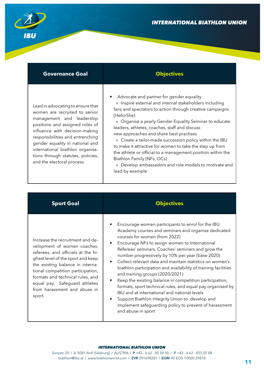

| <b>Governance Goal</b>                                                                                                                                                                                                                                                                                                                            | <b>Objectives</b>                                                                                                                                                                                                                                                                                                                                                                                                                                                                                                                                                                                                                               |
|---------------------------------------------------------------------------------------------------------------------------------------------------------------------------------------------------------------------------------------------------------------------------------------------------------------------------------------------------|-------------------------------------------------------------------------------------------------------------------------------------------------------------------------------------------------------------------------------------------------------------------------------------------------------------------------------------------------------------------------------------------------------------------------------------------------------------------------------------------------------------------------------------------------------------------------------------------------------------------------------------------------|
| Lead in advocating to ensure that<br>women are recruited to senior<br>management and leadership<br>positions and assigned roles of<br>influence with decision-making<br>responsibilities and entrenching<br>gender equality in national and<br>international biathlon organisa-<br>tions through statutes, policies,<br>and the electoral process | Advocate and partner for gender equality<br>$\bullet$<br>» Inspire external and internal stakeholders including<br>fans and spectators to action through creative campaigns<br>(HeforShe)<br>» Organise a yearly Gender Equality Seminar to educate<br>leaders, athletes, coaches, staff and discuss<br>new approaches and share best practises<br>» Create a tailor-made succession policy within the IBU<br>to make it attractive for women to take the step up from<br>the athlete or official to a management position within the<br>Biathlon Family (NFs, OCs)<br>» Develop ambassadors and role models to motivate and<br>lead by example |

| <b>Sport Goal</b>                                                                                                                                                                                                                                                                                                                  | <b>Objectives</b>                                                                                                                                                                                                                                                                                                                                                                                                                                                                                                                                                                                                                                                                                                                                                                               |
|------------------------------------------------------------------------------------------------------------------------------------------------------------------------------------------------------------------------------------------------------------------------------------------------------------------------------------|-------------------------------------------------------------------------------------------------------------------------------------------------------------------------------------------------------------------------------------------------------------------------------------------------------------------------------------------------------------------------------------------------------------------------------------------------------------------------------------------------------------------------------------------------------------------------------------------------------------------------------------------------------------------------------------------------------------------------------------------------------------------------------------------------|
| Increase the recruitment and de-<br>velopment of women coaches,<br>referees, and officials at the hi-<br>ghest level of the sport and keep<br>the existing balance in interna-<br>tional competition participation,<br>formats and technical rules, and<br>equal pay. Safeguard athletes<br>from harassment and abuse in<br>sport. | Encourage women participants to enrol for the IBU<br>Academy courses and seminars and organise dedicated<br>courses for women (from 2022)<br>Encourage NFs to assign women to International<br>$\bullet$<br>Referees' seminars, Coaches' seminars and grow the<br>number progressively by 10% per year (base 2020)<br>Collect relevant data and maintain statistics on women's<br>biathlon participation and availability of training facilities<br>and training groups (2020/2021)<br>Keep the existing balance in competition participation,<br>formats, sport technical rules, and equal pay organised by<br>IBU and at international and national levels<br>Support Biathlon Integrity Union to develop and<br>implement safeguarding policy to prevent of harassment<br>and abuse in sport |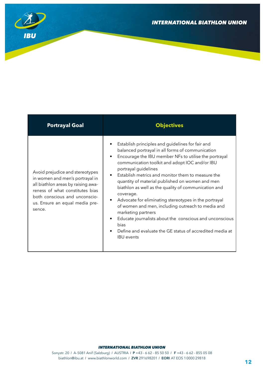

| <b>Portrayal Goal</b>                                                                                                                                                                                                    | <b>Objectives</b>                                                                                                                                                                                                                                                                                                                                                                                                                                                                                                                                                                                                                                                                                                                                   |
|--------------------------------------------------------------------------------------------------------------------------------------------------------------------------------------------------------------------------|-----------------------------------------------------------------------------------------------------------------------------------------------------------------------------------------------------------------------------------------------------------------------------------------------------------------------------------------------------------------------------------------------------------------------------------------------------------------------------------------------------------------------------------------------------------------------------------------------------------------------------------------------------------------------------------------------------------------------------------------------------|
| Avoid prejudice and stereotypes<br>in women and men's portrayal in<br>all biathlon areas by raising awa-<br>reness of what constitutes bias<br>both conscious and unconscio-<br>us. Ensure an equal media pre-<br>sence. | Establish principles and guidelines for fair and<br>balanced portrayal in all forms of communication<br>Encourage the IBU member NFs to utilise the portrayal<br>$\bullet$<br>communication toolkit and adopt IOC and/or IBU<br>portrayal guidelines<br>Establish metrics and monitor them to measure the<br>$\bullet$<br>quantity of material published on women and men<br>biathlon as well as the quality of communication and<br>coverage.<br>Advocate for eliminating stereotypes in the portrayal<br>$\bullet$<br>of women and men, including outreach to media and<br>marketing partners<br>Educate journalists about the conscious and unconscious<br>bias<br>Define and evaluate the GE status of accredited media at<br><b>IBU</b> events |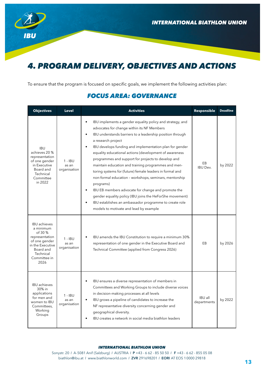

# *4. PROGRAM DELIVERY, OBJECTIVES AND ACTIONS*

To ensure that the program is focused on specific goals, we implement the following activities plan:

## *FOCUS AREA: GOVERNANCE*

| <b>Objectives</b>                                                                                                                                    | <b>Level</b>                       | <b>Activities</b>                                                                                                                                                                                                                                                                                                                                                                                                                                                                                                                                                                                                                                                                                                                                                                                               | Responsible                   | <b>Deadline</b> |
|------------------------------------------------------------------------------------------------------------------------------------------------------|------------------------------------|-----------------------------------------------------------------------------------------------------------------------------------------------------------------------------------------------------------------------------------------------------------------------------------------------------------------------------------------------------------------------------------------------------------------------------------------------------------------------------------------------------------------------------------------------------------------------------------------------------------------------------------------------------------------------------------------------------------------------------------------------------------------------------------------------------------------|-------------------------------|-----------------|
| <b>IBU</b><br>achieves 20 %<br>representation<br>of one gender<br>in Executive<br>Board and<br>Technical<br>Committee<br>in 2022                     | $1 - IBU$<br>as an<br>organisation | IBU implements a gender equality policy and strategy, and<br>$\bullet$<br>advocates for change within its NF Members<br>IBU understands barriers to a leadership position through<br>a research project<br>IBU develops funding and implementation plan for gender<br>equality educational actions (development of awareness<br>programmes and support for projects to develop and<br>maintain education and training programmes and men-<br>toring systems for (future) female leaders in formal and<br>non-formal education - workshops, seminars, mentorship<br>programs)<br>IBU EB members advocate for change and promote the<br>$\bullet$<br>gender equality policy (IBU joins the HeForShe movement)<br>IBU establishes an ambassador programme to create role<br>models to motivate and lead by example | EB<br><b>IBU Dev.</b>         | by 2022         |
| <b>IBU</b> achieves<br>a minimum<br>of 30 %<br>representation<br>of one gender<br>in the Executive<br>Board and<br>Technical<br>Committee in<br>2026 | $1 - IBU$<br>as an<br>organisation | IBU amends the IBU Constitution to require a minimum 30%<br>representation of one gender in the Executive Board and<br>Technical Committee (applied from Congress 2026)                                                                                                                                                                                                                                                                                                                                                                                                                                                                                                                                                                                                                                         | EB                            | by 2026         |
| <b>IBU</b> achieves<br>30% in<br>applications<br>for men and<br>women to IBU<br>Committees,<br>Working<br>Groups                                     | $1 - IBU$<br>as an<br>organisation | IBU ensures a diverse representation of members in<br>Committees and Working Groups to include diverse voices<br>in decision-making processes at all levels<br>IBU grows a pipeline of candidates to increase the<br>NF representative diversity concerning gender and<br>geographical diversity.<br>IBU creates a network in social media biathlon leaders                                                                                                                                                                                                                                                                                                                                                                                                                                                     | <b>IBU</b> all<br>departments | by 2022         |

#### *INTERNATIONAL BIATHLON UNION INTERNATIONAL BIATHLON UNION*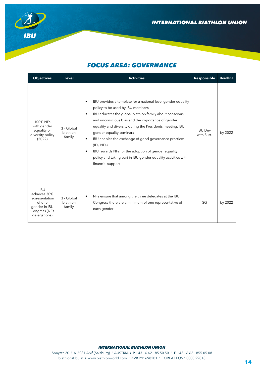



# *FOCUS AREA: GOVERNANCE*

| <b>Objectives</b>                                                                                        | <b>Level</b>                     | <b>Activities</b>                                                                                                                                                                                                                                                                                                                                                                                                                                                                                                                                       | Responsible                   | <b>Deadline</b> |
|----------------------------------------------------------------------------------------------------------|----------------------------------|---------------------------------------------------------------------------------------------------------------------------------------------------------------------------------------------------------------------------------------------------------------------------------------------------------------------------------------------------------------------------------------------------------------------------------------------------------------------------------------------------------------------------------------------------------|-------------------------------|-----------------|
| 100% NFs<br>with gender<br>equality or<br>diversity policy<br>(2022)                                     | 3 - Global<br>biathlon<br>family | IBU provides a template for a national-level gender equality<br>policy to be used by IBU members<br>IBU educates the global biathlon family about conscious<br>$\bullet$<br>and unconscious bias and the importance of gender<br>equality and diversity during the Presidents meeting, IBU<br>gender equality seminars<br>IBU enables the exchange of good governance practices<br>$\bullet$<br>(IFs, NFs)<br>IBU rewards NFs for the adoption of gender equality<br>policy and taking part in IBU gender equality activities with<br>financial support | <b>IBU Dev.</b><br>with Sust. | by 2022         |
| <b>IBU</b><br>achieves 30%<br>representation<br>of one<br>gender in IBU<br>Congress (NFs<br>delegations) | 3 - Global<br>biathlon<br>family | NFs ensure that among the three delegates at the IBU<br>Congress there are a minimum of one representative of<br>each gender                                                                                                                                                                                                                                                                                                                                                                                                                            | SG                            | by 2022         |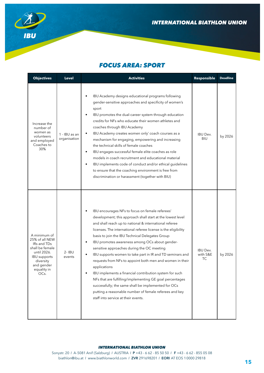

## *FOCUS AREA: SPORT*

| <b>Objectives</b>                                                                                                                                        | <b>Level</b>                  | <b>Activities</b>                                                                                                                                                                                                                                                                                                                                                                                                                                                                                                                                                                                                                                                                                                                                                                                                                 | Responsible                              | <b>Deadline</b> |
|----------------------------------------------------------------------------------------------------------------------------------------------------------|-------------------------------|-----------------------------------------------------------------------------------------------------------------------------------------------------------------------------------------------------------------------------------------------------------------------------------------------------------------------------------------------------------------------------------------------------------------------------------------------------------------------------------------------------------------------------------------------------------------------------------------------------------------------------------------------------------------------------------------------------------------------------------------------------------------------------------------------------------------------------------|------------------------------------------|-----------------|
| Increase the<br>number of<br>women as<br>volunteers<br>and employed<br>Coaches to<br>30%                                                                 | 1 - IBU as an<br>organisation | IBU Academy designs educational programs following<br>gender-sensitive approaches and specificity of women's<br>sport<br>IBU promotes the dual-career system through education<br>credits for NFs who educate their women athletes and<br>coaches through IBU Academy<br>IBU Academy creates women only' coach courses as a<br>$\bullet$<br>mechanism for engaging, empowering and increasing<br>the technical skills of female coaches<br>IBU engages successful female elite coaches as role<br>$\bullet$<br>models in coach recruitment and educational material<br>IBU implements code of conduct and/or ethical guidelines<br>to ensure that the coaching environment is free from<br>discrimination or harassment (together with BIU)                                                                                       | <b>IBU Dev.</b><br><b>BIU</b>            | by 2026         |
| A minimum of<br>25% of all NEW<br>IRs and TDs<br>shall be female<br>until 2026.<br><b>IBU</b> supports<br>diversity<br>and gender<br>equality in<br>OCs. | 2- IBU<br>events              | IBU encourages NFs to focus on female referees'<br>development; this approach shall start at the lowest level<br>and shall reach up to national & international referee<br>licenses. The international referee license is the eligibility<br>basis to join the IBU Technical Delegates Group<br>IBU promotes awareness among OCs about gender-<br>$\bullet$<br>sensitive approaches during the OC meeting<br>IBU supports women to take part in IR and TD seminars and<br>requests from NFs to appoint both men and women in their<br>applications<br>IBU implements a financial contribution system for such<br>NFs that are fulfilling/implementing GE goal percentages<br>successfully; the same shall be implemented for OCs<br>putting a reasonable number of female referees and key<br>staff into service at their events. | <b>IBU Dev.</b><br>with S&E<br><b>TC</b> | by 2026         |

#### *INTERNATIONAL BIATHLON UNION INTERNATIONAL BIATHLON UNION*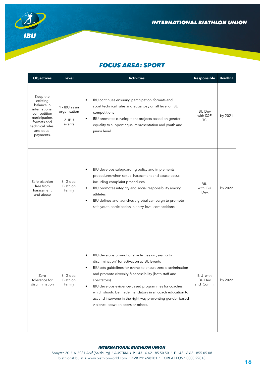

## *FOCUS AREA: SPORT*

| <b>Objectives</b>                                                                                                                                 | <b>Level</b>                                         | <b>Activities</b>                                                                                                                                                                                                                                                                                                                                                                                                                                                                         | Responsible                              | <b>Deadline</b> |
|---------------------------------------------------------------------------------------------------------------------------------------------------|------------------------------------------------------|-------------------------------------------------------------------------------------------------------------------------------------------------------------------------------------------------------------------------------------------------------------------------------------------------------------------------------------------------------------------------------------------------------------------------------------------------------------------------------------------|------------------------------------------|-----------------|
| Keep the<br>existing<br>balance in<br>international<br>competition<br>participation,<br>formats and<br>technical rules,<br>and equal<br>payments. | 1 - IBU as an<br>organisation<br>$2 - IBU$<br>events | IBU continues ensuring participation, formats and<br>sport technical rules and equal pay on all level of IBU<br>competitions<br>IBU promotes development projects based on gender<br>equality to support equal representation and youth and<br>junior level                                                                                                                                                                                                                               | <b>IBU Dev.</b><br>with S&E<br><b>TC</b> | by 2021         |
| Safe biathlon<br>free from<br>harassment<br>and abuse                                                                                             | 3- Global<br><b>Biathlon</b><br>Family               | BIU develops safeguarding policy and implements<br>procedures when sexual harassment and abuse occur,<br>including complaint procedures<br>IBU promotes integrity and social responsibility among<br>$\bullet$<br>athletes<br>IBU defines and launches a global campaign to promote<br>$\bullet$<br>safe youth participation in entry-level competitions                                                                                                                                  | <b>BIU</b><br>with IBU<br>Dev.           | by 2022         |
| Zero<br>tolerance for<br>discrimination                                                                                                           | 3- Global<br>Biathlon<br>Family                      | IBU develops promotional activities on "say no to<br>$\bullet$<br>discrimination" for activation at IBU Events<br>BIU sets guidelines for events to ensure zero discrimination<br>and promote diversity & accessibility (both staff and<br>spectators)<br>IBU develops evidence-based programmes for coaches,<br>$\bullet$<br>which should be made mandatory in all coach education to<br>act and intervene in the right way preventing gender-based<br>violence between peers or others. | BIU with<br><b>IBU Dev.</b><br>and Comm. | by 2022         |

#### *INTERNATIONAL BIATHLON UNION INTERNATIONAL BIATHLON UNION*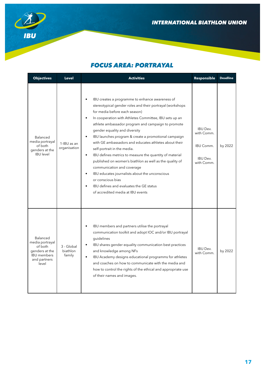

# *FOCUS AREA: PORTRAYAL*

| <b>Objectives</b>                                                                                       | <b>Level</b>                     | <b>Activities</b>                                                                                                                                                                                                                                                                                                                                                                                                                                                                                                                                                                                                                                                                                                                                                                                | Responsible                                                                        | <b>Deadline</b> |
|---------------------------------------------------------------------------------------------------------|----------------------------------|--------------------------------------------------------------------------------------------------------------------------------------------------------------------------------------------------------------------------------------------------------------------------------------------------------------------------------------------------------------------------------------------------------------------------------------------------------------------------------------------------------------------------------------------------------------------------------------------------------------------------------------------------------------------------------------------------------------------------------------------------------------------------------------------------|------------------------------------------------------------------------------------|-----------------|
| Balanced<br>media portrayal<br>of both<br>genders at the<br><b>IBU</b> level                            | 1-IBU as an<br>organisation      | IBU creates a programme to enhance awareness of<br>$\bullet$<br>stereotypical gender roles and their portrayal (workshops<br>for media before each season)<br>In cooperation with Athletes Committee, IBU sets up an<br>athlete ambassador program and campaign to promote<br>gender equality and diversity<br>IBU launches program & create a promotional campaign<br>$\bullet$<br>with GE ambassadors and educates athletes about their<br>self-portrait in the media.<br>IBU defines metrics to measure the quantity of material<br>$\bullet$<br>published on women's biathlon as well as the quality of<br>communication and coverage<br>IBU educates journalists about the unconscious<br>or conscious bias<br>IBU defines and evaluates the GE status<br>of accredited media at IBU events | <b>IBU Dev.</b><br>with Comm.<br><b>IBU Comm.</b><br><b>IBU Dev.</b><br>with Comm. | by 2022         |
| Balanced<br>media portrayal<br>of both<br>genders at the<br><b>IBU</b> members<br>and partners<br>level | 3 - Global<br>biathlon<br>family | IBU members and partners utilise the portrayal<br>communication toolkit and adopt IOC and/or IBU portrayal<br>guidelines<br>IBU shares gender equality communication best practices<br>$\bullet$<br>and knowledge among NFs<br>IBU Academy designs educational programms for athletes<br>$\bullet$<br>and coaches on how to communicate with the media and<br>how to control the rights of the ethical and appropriate use<br>of their names and images.                                                                                                                                                                                                                                                                                                                                         | <b>IBU Dev.</b><br>with Comm.                                                      | by 2022         |